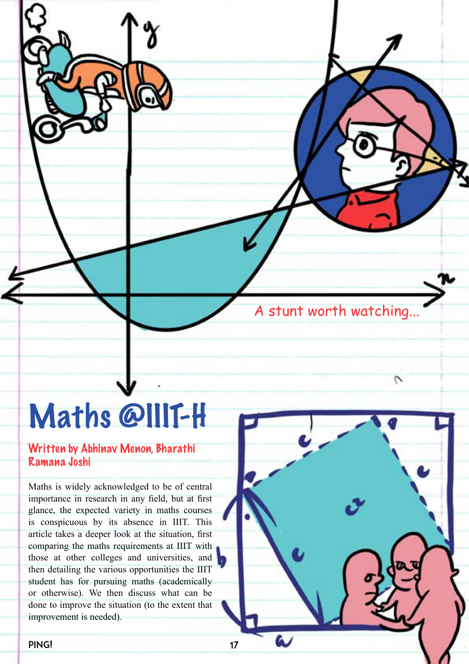A stunt worth watching...

Ν

# Maths @IIIT-H

#### Written by Abhinav Menon, Bharathi Ramana Joshi

Maths is widely acknowledged to be of central importance in research in any field, but at first glance, the expected variety in maths courses is conspicuous by its absence in IIIT. This article takes a deeper look at the situation, first comparing the maths requirements at IIIT with those at other colleges and universities, and then detailing the various opportunities the IIIT student has for pursuing maths (academically or otherwise). We then discuss what can be done to improve the situation (to the extent that improvement is needed).

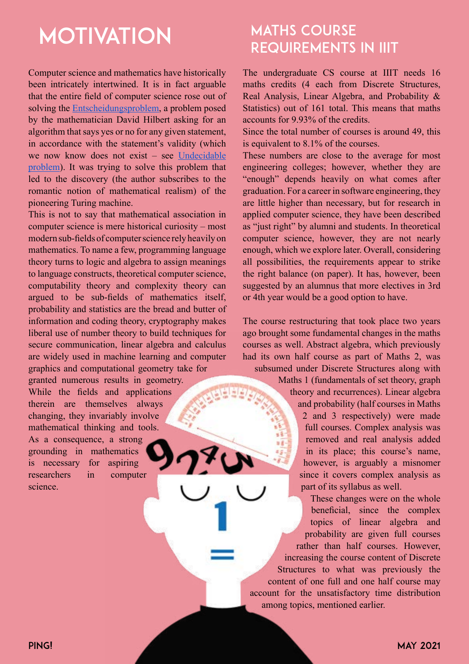# **MOTIVATION**

Computer science and mathematics have historically been intricately intertwined. It is in fact arguable that the entire field of computer science rose out of solving the [Entscheidungsproblem,](https://en.wikipedia.org/wiki/Entscheidungsproblem) a problem posed by the mathematician David Hilbert asking for an algorithm that says yes or no for any given statement, in accordance with the statement's validity (which we now know does not exist – see [Undecidable](https://en.wikipedia.org/wiki/Undecidable_problem) [problem](https://en.wikipedia.org/wiki/Undecidable_problem)). It was trying to solve this problem that led to the discovery (the author subscribes to the romantic notion of mathematical realism) of the pioneering Turing machine.

This is not to say that mathematical association in computer science is mere historical curiosity – most modern sub-fields of computer science rely heavily on mathematics. To name a few, programming language theory turns to logic and algebra to assign meanings to language constructs, theoretical computer science, computability theory and complexity theory can argued to be sub-fields of mathematics itself, probability and statistics are the bread and butter of information and coding theory, cryptography makes liberal use of number theory to build techniques for secure communication, linear algebra and calculus are widely used in machine learning and computer graphics and computational geometry take for

granted numerous results in geometry. While the fields and applications therein are themselves always changing, they invariably involve mathematical thinking and tools. As a consequence, a strong grounding in mathematics is necessary for aspiring researchers in computer science.

## **MATHS COURSE** Requirements in IIIT

The undergraduate CS course at IIIT needs 16 maths credits (4 each from Discrete Structures, Real Analysis, Linear Algebra, and Probability & Statistics) out of 161 total. This means that maths accounts for 9.93% of the credits.

Since the total number of courses is around 49, this is equivalent to 8.1% of the courses.

These numbers are close to the average for most engineering colleges; however, whether they are "enough" depends heavily on what comes after graduation. For a career in software engineering, they are little higher than necessary, but for research in applied computer science, they have been described as "just right" by alumni and students. In theoretical computer science, however, they are not nearly enough, which we explore later. Overall, considering all possibilities, the requirements appear to strike the right balance (on paper). It has, however, been suggested by an alumnus that more electives in 3rd or 4th year would be a good option to have.

The course restructuring that took place two years ago brought some fundamental changes in the maths courses as well. Abstract algebra, which previously had its own half course as part of Maths 2, was subsumed under Discrete Structures along with

> Maths 1 (fundamentals of set theory, graph theory and recurrences). Linear algebra and probability (half courses in Maths 2 and 3 respectively) were made full courses. Complex analysis was removed and real analysis added in its place; this course's name, however, is arguably a misnomer since it covers complex analysis as part of its syllabus as well.

These changes were on the whole beneficial, since the complex topics of linear algebra and probability are given full courses rather than half courses. However, increasing the course content of Discrete Structures to what was previously the content of one full and one half course may account for the unsatisfactory time distribution among topics, mentioned earlier.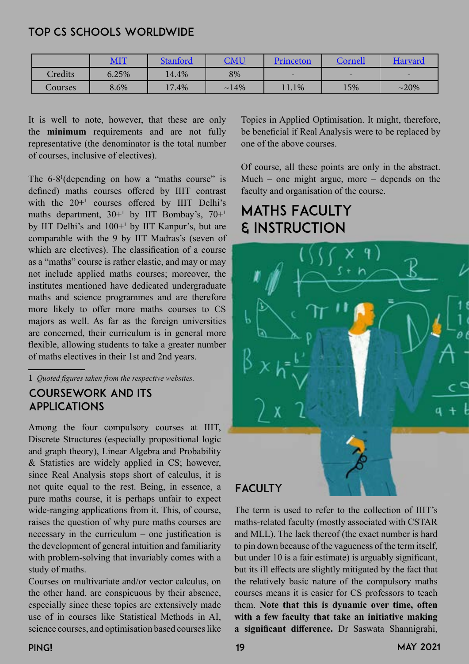#### Top CS Schools Worldwide

|         | MIT   | <b>Stanford</b> | $\mathop{\rm CMU}\nolimits$ | Princeton      | Cornell                  | <b>Harvard</b> |
|---------|-------|-----------------|-----------------------------|----------------|--------------------------|----------------|
| Credits | 6.25% | 14.4%           | 8%                          |                | $\overline{\phantom{0}}$ | $-$            |
| Courses | 8.6%  | $.4\%$          | $~14\%$                     | $\Lambda1.1\%$ | 15%                      | $~20\%$        |

It is well to note, however, that these are only the **minimum** requirements and are not fully representative (the denominator is the total number of courses, inclusive of electives).

The 6-8<sup>1</sup> (depending on how a "maths course" is defined) maths courses offered by IIIT contrast with the  $20+1$  courses offered by IIIT Delhi's maths department, 30+1 by IIT Bombay's, 70+1 by IIT Delhi's and 100+1 by IIT Kanpur's, but are comparable with the 9 by IIT Madras's (seven of which are electives). The classification of a course as a "maths" course is rather elastic, and may or may not include applied maths courses; moreover, the institutes mentioned have dedicated undergraduate maths and science programmes and are therefore more likely to offer more maths courses to CS majors as well. As far as the foreign universities are concerned, their curriculum is in general more flexible, allowing students to take a greater number of maths electives in their 1st and 2nd years.

#### 1 *Quoted figures taken from the respective websites.*

#### Coursework and its Applications

Among the four compulsory courses at IIIT, Discrete Structures (especially propositional logic and graph theory), Linear Algebra and Probability & Statistics are widely applied in CS; however, since Real Analysis stops short of calculus, it is not quite equal to the rest. Being, in essence, a pure maths course, it is perhaps unfair to expect wide-ranging applications from it. This, of course, raises the question of why pure maths courses are necessary in the curriculum – one justification is the development of general intuition and familiarity with problem-solving that invariably comes with a study of maths.

Courses on multivariate and/or vector calculus, on the other hand, are conspicuous by their absence, especially since these topics are extensively made use of in courses like Statistical Methods in AI, science courses, and optimisation based courses like

Topics in Applied Optimisation. It might, therefore, be beneficial if Real Analysis were to be replaced by one of the above courses.

Of course, all these points are only in the abstract. Much – one might argue, more – depends on the faculty and organisation of the course.

# Maths Faculty & Instruction



#### **FACULTY**

The term is used to refer to the collection of IIIT's maths-related faculty (mostly associated with CSTAR and MLL). The lack thereof (the exact number is hard to pin down because of the vagueness of the term itself, but under 10 is a fair estimate) is arguably significant, but its ill effects are slightly mitigated by the fact that the relatively basic nature of the compulsory maths courses means it is easier for CS professors to teach them. **Note that this is dynamic over time, often with a few faculty that take an initiative making a significant difference.** Dr Saswata Shannigrahi,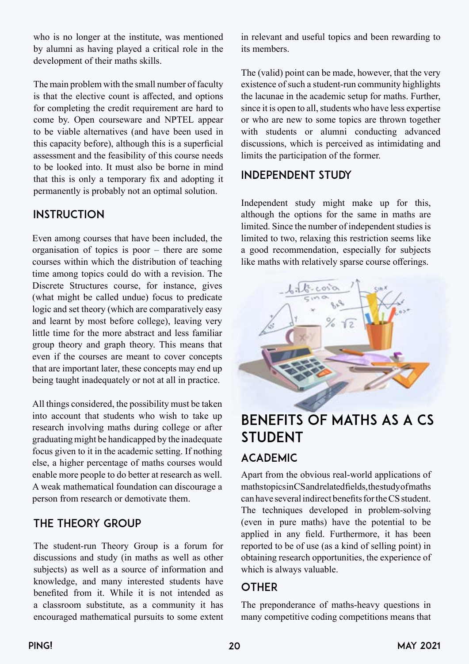who is no longer at the institute, was mentioned by alumni as having played a critical role in the development of their maths skills.

The main problem with the small number of faculty is that the elective count is affected, and options for completing the credit requirement are hard to come by. Open courseware and NPTEL appear to be viable alternatives (and have been used in this capacity before), although this is a superficial assessment and the feasibility of this course needs to be looked into. It must also be borne in mind that this is only a temporary fix and adopting it permanently is probably not an optimal solution.

#### **INSTRUCTION**

Even among courses that have been included, the organisation of topics is poor – there are some courses within which the distribution of teaching time among topics could do with a revision. The Discrete Structures course, for instance, gives (what might be called undue) focus to predicate logic and set theory (which are comparatively easy and learnt by most before college), leaving very little time for the more abstract and less familiar group theory and graph theory. This means that even if the courses are meant to cover concepts that are important later, these concepts may end up being taught inadequately or not at all in practice.

All things considered, the possibility must be taken into account that students who wish to take up research involving maths during college or after graduating might be handicapped by the inadequate focus given to it in the academic setting. If nothing else, a higher percentage of maths courses would enable more people to do better at research as well. A weak mathematical foundation can discourage a person from research or demotivate them.

#### The Theory Group

The student-run Theory Group is a forum for discussions and study (in maths as well as other subjects) as well as a source of information and knowledge, and many interested students have benefited from it. While it is not intended as a classroom substitute, as a community it has encouraged mathematical pursuits to some extent in relevant and useful topics and been rewarding to its members.

The (valid) point can be made, however, that the very existence of such a student-run community highlights the lacunae in the academic setup for maths. Further, since it is open to all, students who have less expertise or who are new to some topics are thrown together with students or alumni conducting advanced discussions, which is perceived as intimidating and limits the participation of the former.

#### Independent Study

Independent study might make up for this, although the options for the same in maths are limited. Since the number of independent studies is limited to two, relaxing this restriction seems like a good recommendation, especially for subjects like maths with relatively sparse course offerings.



# Benefits of Maths as a CS **STUDENT** Academic

Apart from the obvious real-world applications of maths topics in CS and related fields, the study of maths can have several indirect benefits for the CS student. The techniques developed in problem-solving (even in pure maths) have the potential to be applied in any field. Furthermore, it has been reported to be of use (as a kind of selling point) in obtaining research opportunities, the experience of which is always valuable.

#### **OTHER**

The preponderance of maths-heavy questions in many competitive coding competitions means that